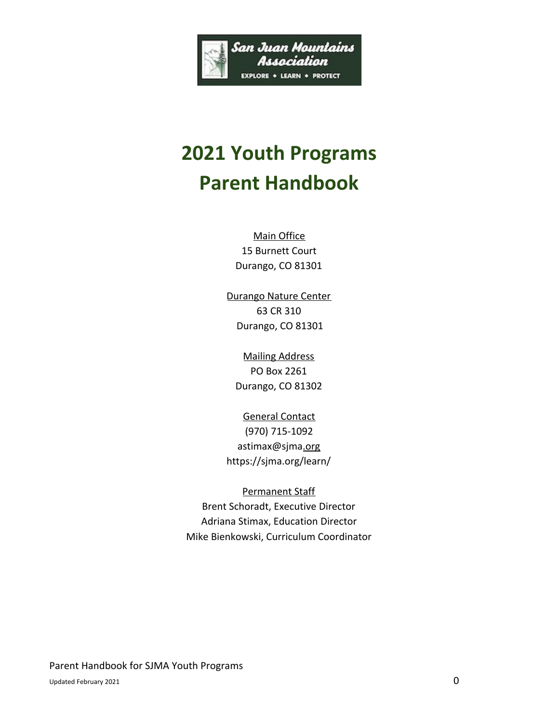

# **2021 Youth Programs Parent Handbook**

Main Office 15 Burnett Court Durango, CO 81301

Durango Nature Center 63 CR 310 Durango, CO 81301

Mailing Address PO Box 2261 Durango, CO 81302

General Contact (970) 715-1092 astimax@sjma[.org](mailto:camps@sjma.org) https://sjma.org/learn/

Permanent Staff Brent Schoradt, Executive Director Adriana Stimax, Education Director Mike Bienkowski, Curriculum Coordinator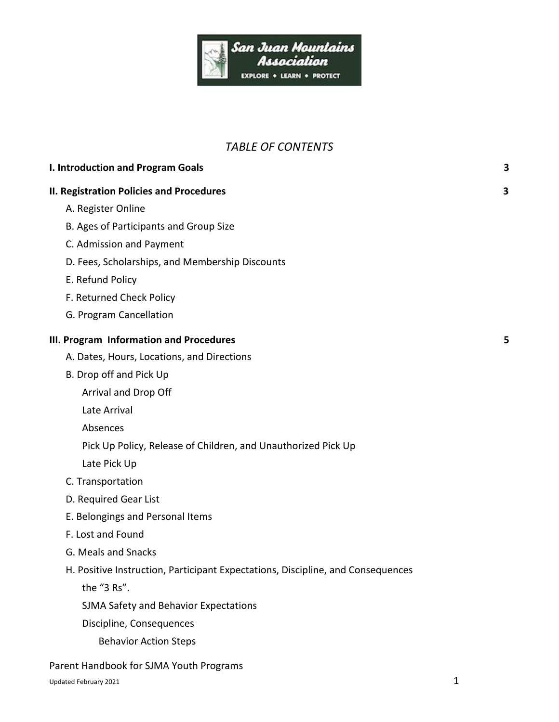

# *TABLE OF CONTENTS*

| I. Introduction and Program Goals                                               | 3 |
|---------------------------------------------------------------------------------|---|
| <b>II. Registration Policies and Procedures</b>                                 | 3 |
| A. Register Online                                                              |   |
| B. Ages of Participants and Group Size                                          |   |
| C. Admission and Payment                                                        |   |
| D. Fees, Scholarships, and Membership Discounts                                 |   |
| E. Refund Policy                                                                |   |
| F. Returned Check Policy                                                        |   |
| G. Program Cancellation                                                         |   |
| III. Program Information and Procedures                                         | 5 |
| A. Dates, Hours, Locations, and Directions                                      |   |
| B. Drop off and Pick Up                                                         |   |
| Arrival and Drop Off                                                            |   |
| Late Arrival                                                                    |   |
| Absences                                                                        |   |
| Pick Up Policy, Release of Children, and Unauthorized Pick Up                   |   |
| Late Pick Up                                                                    |   |
| C. Transportation                                                               |   |
| D. Required Gear List                                                           |   |
| E. Belongings and Personal Items                                                |   |
| F. Lost and Found                                                               |   |
| G. Meals and Snacks                                                             |   |
| H. Positive Instruction, Participant Expectations, Discipline, and Consequences |   |
| the "3 Rs".                                                                     |   |
| SJMA Safety and Behavior Expectations                                           |   |
| Discipline, Consequences                                                        |   |
| <b>Behavior Action Steps</b>                                                    |   |
|                                                                                 |   |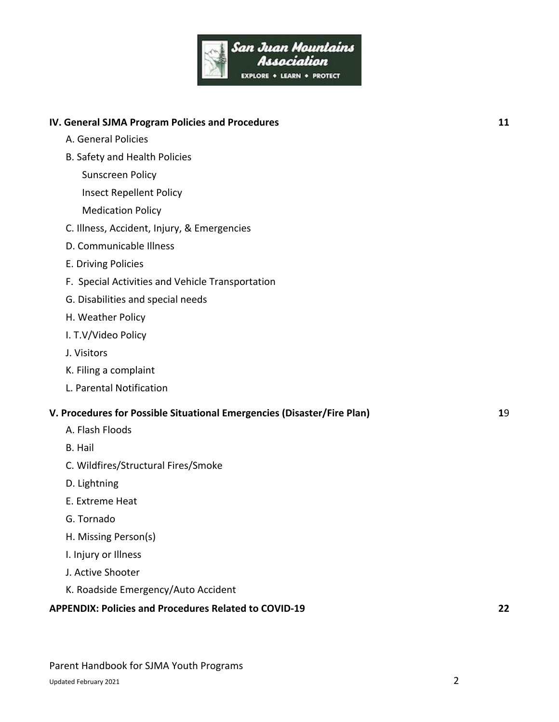

| IV. General SJMA Program Policies and Procedures                        | 11 |
|-------------------------------------------------------------------------|----|
| A. General Policies                                                     |    |
| B. Safety and Health Policies                                           |    |
| <b>Sunscreen Policy</b>                                                 |    |
| <b>Insect Repellent Policy</b>                                          |    |
| <b>Medication Policy</b>                                                |    |
| C. Illness, Accident, Injury, & Emergencies                             |    |
| D. Communicable Illness                                                 |    |
| E. Driving Policies                                                     |    |
| F. Special Activities and Vehicle Transportation                        |    |
| G. Disabilities and special needs                                       |    |
| H. Weather Policy                                                       |    |
| I. T.V/Video Policy                                                     |    |
| J. Visitors                                                             |    |
| K. Filing a complaint                                                   |    |
| L. Parental Notification                                                |    |
| V. Procedures for Possible Situational Emergencies (Disaster/Fire Plan) | 19 |
| A. Flash Floods                                                         |    |
| <b>B.</b> Hail                                                          |    |
| C. Wildfires/Structural Fires/Smoke                                     |    |
| D. Lightning                                                            |    |
| E. Extreme Heat                                                         |    |
| G. Tornado                                                              |    |
| H. Missing Person(s)                                                    |    |
| I. Injury or Illness                                                    |    |
| J. Active Shooter                                                       |    |

K. Roadside Emergency/Auto Accident

# **APPENDIX: Policies and Procedures Related to COVID-19 22**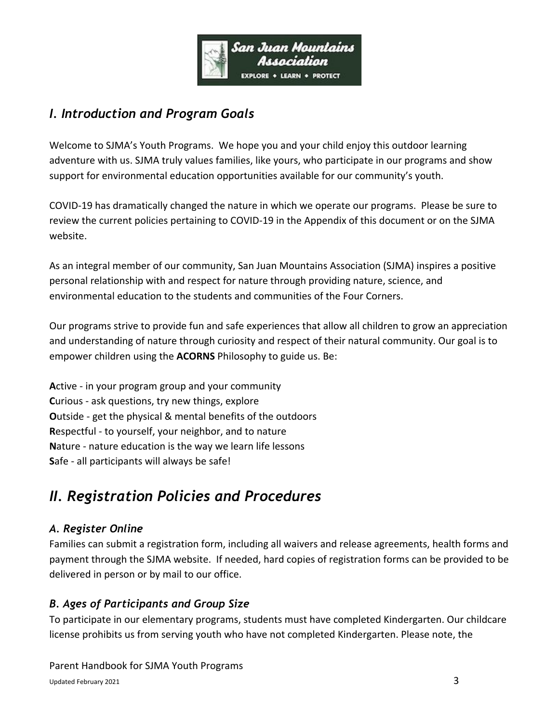

# *I. Introduction and Program Goals*

Welcome to SJMA's Youth Programs. We hope you and your child enjoy this outdoor learning adventure with us. SJMA truly values families, like yours, who participate in our programs and show support for environmental education opportunities available for our community's youth.

COVID-19 has dramatically changed the nature in which we operate our programs. Please be sure to review the current policies pertaining to COVID-19 in the Appendix of this document or on the SJMA website.

As an integral member of our community, San Juan Mountains Association (SJMA) inspires a positive personal relationship with and respect for nature through providing nature, science, and environmental education to the students and communities of the Four Corners.

Our programs strive to provide fun and safe experiences that allow all children to grow an appreciation and understanding of nature through curiosity and respect of their natural community. Our goal is to empower children using the **ACORNS** Philosophy to guide us. Be:

**A**ctive - in your program group and your community **C**urious - ask questions, try new things, explore **O**utside - get the physical & mental benefits of the outdoors **R**espectful - to yourself, your neighbor, and to nature **N**ature - nature education is the way we learn life lessons **S**afe - all participants will always be safe!

# *II. Registration Policies and Procedures*

# *A. Register Online*

Families can submit a registration form, including all waivers and release agreements, health forms and payment through the SJMA website. If needed, hard copies of registration forms can be provided to be delivered in person or by mail to our office.

# *B. Ages of Participants and Group Size*

To participate in our elementary programs, students must have completed Kindergarten. Our childcare license prohibits us from serving youth who have not completed Kindergarten. Please note, the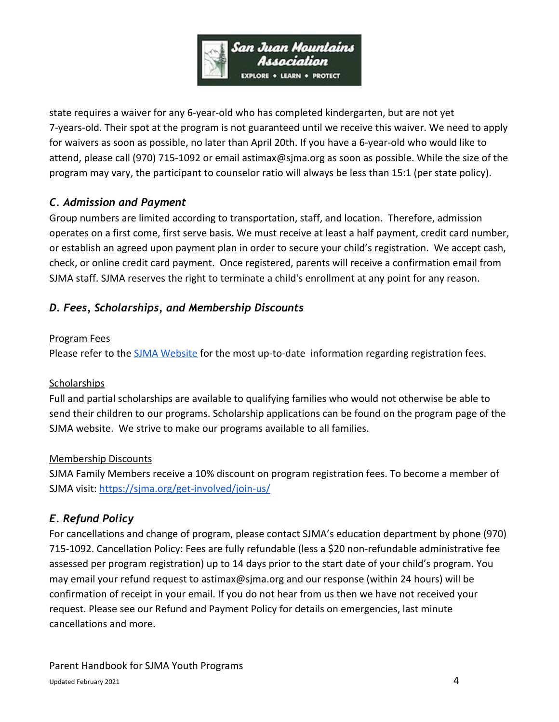

state requires a waiver for any 6-year-old who has completed kindergarten, but are not yet 7-years-old. Their spot at the program is not guaranteed until we receive this waiver. We need to apply for waivers as soon as possible, no later than April 20th. If you have a 6-year-old who would like to attend, please call (970) 715-1092 or email astimax@sjma.org as soon as possible. While the size of the program may vary, the participant to counselor ratio will always be less than 15:1 (per state policy).

# *C. Admission and Payment*

Group numbers are limited according to transportation, staff, and location. Therefore, admission operates on a first come, first serve basis. We must receive at least a half payment, credit card number, or establish an agreed upon payment plan in order to secure your child's registration. We accept cash, check, or online credit card payment. Once registered, parents will receive a confirmation email from SJMA staff. SJMA reserves the right to terminate a child's enrollment at any point for any reason.

# *D. Fees, Scholarships, and Membership Discounts*

#### Program Fees

Please refer to the [SJMA Website](https://sjma.org/learn/) for the most up-to-date information regarding registration fees.

#### **Scholarships**

Full and partial scholarships are available to qualifying families who would not otherwise be able to send their children to our programs. Scholarship applications can be found on the program page of the SJMA website. We strive to make our programs available to all families.

#### Membership Discounts

SJMA Family Members receive a 10% discount on program registration fees. To become a member of SJMA visit: <https://sjma.org/get-involved/join-us/>

# *E. Refund Policy*

For cancellations and change of program, please contact SJMA's education department by phone (970) 715-1092. Cancellation Policy: Fees are fully refundable (less a \$20 non-refundable administrative fee assessed per program registration) up to 14 days prior to the start date of your child's program. You may email your refund request to astimax@sjma.org and our response (within 24 hours) will be confirmation of receipt in your email. If you do not hear from us then we have not received your request. Please see our Refund and Payment Policy for details on emergencies, last minute cancellations and more.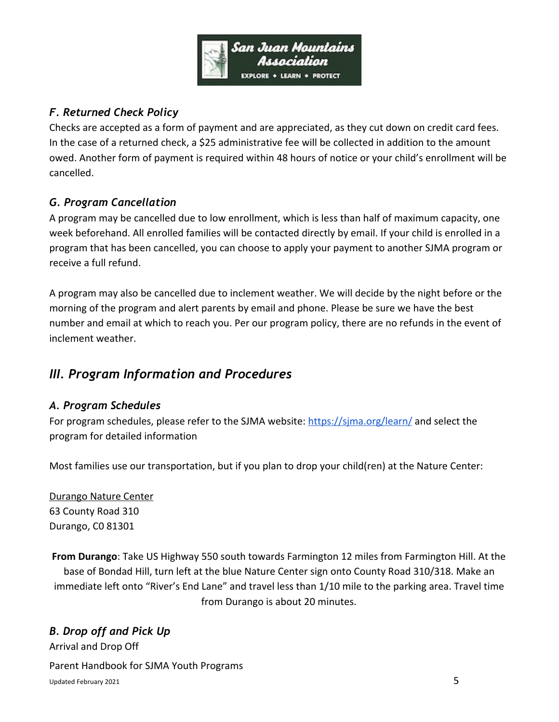

# *F. Returned Check Policy*

Checks are accepted as a form of payment and are appreciated, as they cut down on credit card fees. In the case of a returned check, a \$25 administrative fee will be collected in addition to the amount owed. Another form of payment is required within 48 hours of notice or your child's enrollment will be cancelled.

# *G. Program Cancellation*

A program may be cancelled due to low enrollment, which is less than half of maximum capacity, one week beforehand. All enrolled families will be contacted directly by email. If your child is enrolled in a program that has been cancelled, you can choose to apply your payment to another SJMA program or receive a full refund.

A program may also be cancelled due to inclement weather. We will decide by the night before or the morning of the program and alert parents by email and phone. Please be sure we have the best number and email at which to reach you. Per our program policy, there are no refunds in the event of inclement weather.

# *III. Program Information and Procedures*

# *A. Program Schedules*

For program schedules, please refer to the SJMA website: <https://sjma.org/learn/>and select the program for detailed information

Most families use our transportation, but if you plan to drop your child(ren) at the Nature Center:

Durango Nature Center 63 County Road 310 Durango, C0 81301

**From Durango**: Take US Highway 550 south towards Farmington 12 miles from Farmington Hill. At the base of Bondad Hill, turn left at the blue Nature Center sign onto County Road 310/318. Make an immediate left onto "River's End Lane" and travel less than 1/10 mile to the parking area. Travel time from Durango is about 20 minutes.

# *B. Drop off and Pick Up*

Arrival and Drop Off Parent Handbook for SJMA Youth Programs Updated February 2021 5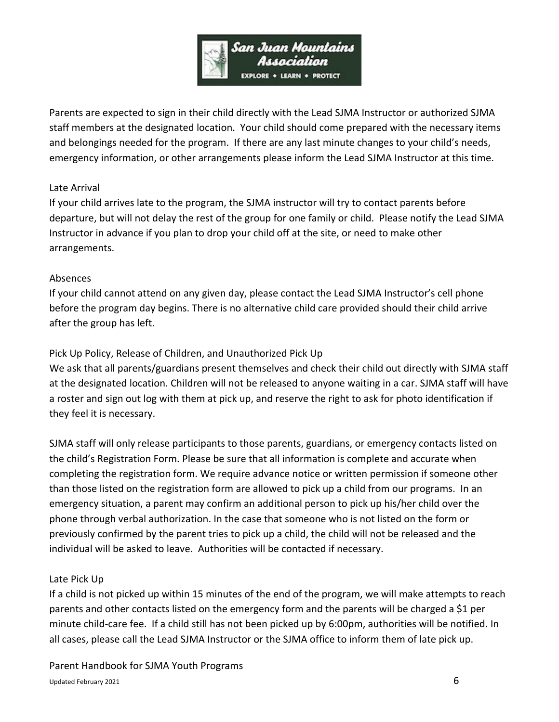

Parents are expected to sign in their child directly with the Lead SJMA Instructor or authorized SJMA staff members at the designated location. Your child should come prepared with the necessary items and belongings needed for the program. If there are any last minute changes to your child's needs, emergency information, or other arrangements please inform the Lead SJMA Instructor at this time.

#### Late Arrival

If your child arrives late to the program, the SJMA instructor will try to contact parents before departure, but will not delay the rest of the group for one family or child. Please notify the Lead SJMA Instructor in advance if you plan to drop your child off at the site, or need to make other arrangements.

#### Absences

If your child cannot attend on any given day, please contact the Lead SJMA Instructor's cell phone before the program day begins. There is no alternative child care provided should their child arrive after the group has left.

#### Pick Up Policy, Release of Children, and Unauthorized Pick Up

We ask that all parents/guardians present themselves and check their child out directly with SJMA staff at the designated location. Children will not be released to anyone waiting in a car. SJMA staff will have a roster and sign out log with them at pick up, and reserve the right to ask for photo identification if they feel it is necessary.

SJMA staff will only release participants to those parents, guardians, or emergency contacts listed on the child's Registration Form. Please be sure that all information is complete and accurate when completing the registration form. We require advance notice or written permission if someone other than those listed on the registration form are allowed to pick up a child from our programs. In an emergency situation, a parent may confirm an additional person to pick up his/her child over the phone through verbal authorization. In the case that someone who is not listed on the form or previously confirmed by the parent tries to pick up a child, the child will not be released and the individual will be asked to leave. Authorities will be contacted if necessary.

#### Late Pick Up

If a child is not picked up within 15 minutes of the end of the program, we will make attempts to reach parents and other contacts listed on the emergency form and the parents will be charged a \$1 per minute child-care fee. If a child still has not been picked up by 6:00pm, authorities will be notified. In all cases, please call the Lead SJMA Instructor or the SJMA office to inform them of late pick up.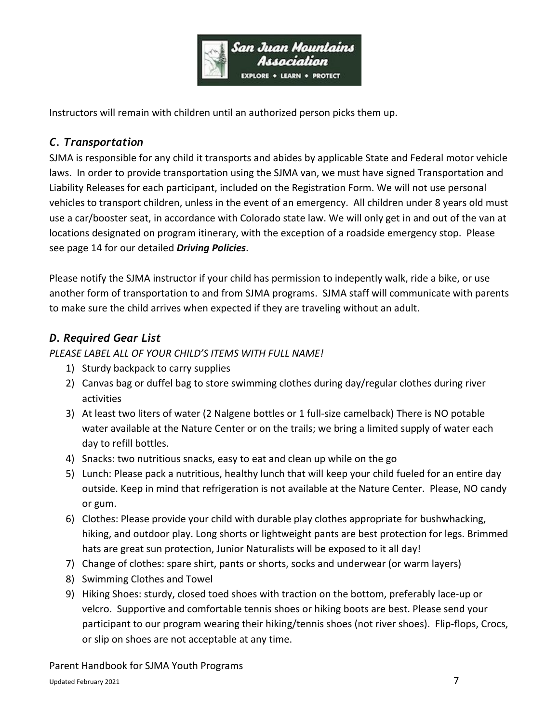

Instructors will remain with children until an authorized person picks them up.

# *C. Transportation*

SJMA is responsible for any child it transports and abides by applicable State and Federal motor vehicle laws. In order to provide transportation using the SJMA van, we must have signed Transportation and Liability Releases for each participant, included on the Registration Form. We will not use personal vehicles to transport children, unless in the event of an emergency. All children under 8 years old must use a car/booster seat, in accordance with Colorado state law. We will only get in and out of the van at locations designated on program itinerary, with the exception of a roadside emergency stop. Please see page 14 for our detailed *Driving Policies*.

Please notify the SJMA instructor if your child has permission to indepently walk, ride a bike, or use another form of transportation to and from SJMA programs. SJMA staff will communicate with parents to make sure the child arrives when expected if they are traveling without an adult.

# *D. Required Gear List*

*PLEASE LABEL ALL OF YOUR CHILD'S ITEMS WITH FULL NAME!*

- 1) Sturdy backpack to carry supplies
- 2) Canvas bag or duffel bag to store swimming clothes during day/regular clothes during river activities
- 3) At least two liters of water (2 Nalgene bottles or 1 full-size camelback) There is NO potable water available at the Nature Center or on the trails; we bring a limited supply of water each day to refill bottles.
- 4) Snacks: two nutritious snacks, easy to eat and clean up while on the go
- 5) Lunch: Please pack a nutritious, healthy lunch that will keep your child fueled for an entire day outside. Keep in mind that refrigeration is not available at the Nature Center. Please, NO candy or gum.
- 6) Clothes: Please provide your child with durable play clothes appropriate for bushwhacking, hiking, and outdoor play. Long shorts or lightweight pants are best protection for legs. Brimmed hats are great sun protection, Junior Naturalists will be exposed to it all day!
- 7) Change of clothes: spare shirt, pants or shorts, socks and underwear (or warm layers)
- 8) Swimming Clothes and Towel
- 9) Hiking Shoes: sturdy, closed toed shoes with traction on the bottom, preferably lace-up or velcro. Supportive and comfortable tennis shoes or hiking boots are best. Please send your participant to our program wearing their hiking/tennis shoes (not river shoes). Flip-flops, Crocs, or slip on shoes are not acceptable at any time.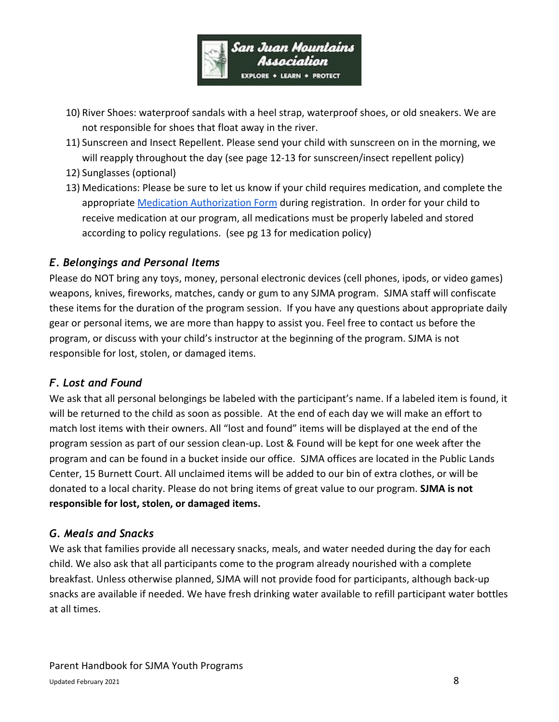

- 10) River Shoes: waterproof sandals with a heel strap, waterproof shoes, or old sneakers. We are not responsible for shoes that float away in the river.
- 11) Sunscreen and Insect Repellent. Please send your child with sunscreen on in the morning, we will reapply throughout the day (see page 12-13 for sunscreen/insect repellent policy)
- 12) Sunglasses (optional)
- 13) Medications: Please be sure to let us know if your child requires medication, and complete the appropriate [Medication Authorization Form](https://sjma.org/wp-content/uploads/2020/02/Med-Admin-Permission-Form.pdf) during registration. In order for your child to receive medication at our program, all medications must be properly labeled and stored according to policy regulations. (see pg 13 for medication policy)

# *E. Belongings and Personal Items*

Please do NOT bring any toys, money, personal electronic devices (cell phones, ipods, or video games) weapons, knives, fireworks, matches, candy or gum to any SJMA program. SJMA staff will confiscate these items for the duration of the program session. If you have any questions about appropriate daily gear or personal items, we are more than happy to assist you. Feel free to contact us before the program, or discuss with your child's instructor at the beginning of the program. SJMA is not responsible for lost, stolen, or damaged items.

# *F. Lost and Found*

We ask that all personal belongings be labeled with the participant's name. If a labeled item is found, it will be returned to the child as soon as possible. At the end of each day we will make an effort to match lost items with their owners. All "lost and found" items will be displayed at the end of the program session as part of our session clean-up. Lost & Found will be kept for one week after the program and can be found in a bucket inside our office. SJMA offices are located in the Public Lands Center, 15 Burnett Court. All unclaimed items will be added to our bin of extra clothes, or will be donated to a local charity. Please do not bring items of great value to our program. **SJMA is not responsible for lost, stolen, or damaged items.**

#### *G. Meals and Snacks*

We ask that families provide all necessary snacks, meals, and water needed during the day for each child. We also ask that all participants come to the program already nourished with a complete breakfast. Unless otherwise planned, SJMA will not provide food for participants, although back-up snacks are available if needed. We have fresh drinking water available to refill participant water bottles at all times.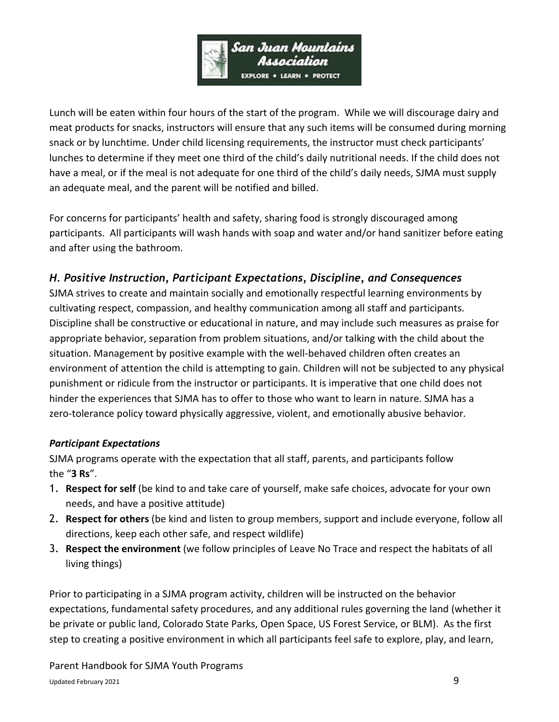

Lunch will be eaten within four hours of the start of the program. While we will discourage dairy and meat products for snacks, instructors will ensure that any such items will be consumed during morning snack or by lunchtime. Under child licensing requirements, the instructor must check participants' lunches to determine if they meet one third of the child's daily nutritional needs. If the child does not have a meal, or if the meal is not adequate for one third of the child's daily needs, SJMA must supply an adequate meal, and the parent will be notified and billed.

For concerns for participants' health and safety, sharing food is strongly discouraged among participants. All participants will wash hands with soap and water and/or hand sanitizer before eating and after using the bathroom.

# *H. Positive Instruction, Participant Expectations, Discipline, and Consequences*

SJMA strives to create and maintain socially and emotionally respectful learning environments by cultivating respect, compassion, and healthy communication among all staff and participants. Discipline shall be constructive or educational in nature, and may include such measures as praise for appropriate behavior, separation from problem situations, and/or talking with the child about the situation. Management by positive example with the well-behaved children often creates an environment of attention the child is attempting to gain. Children will not be subjected to any physical punishment or ridicule from the instructor or participants. It is imperative that one child does not hinder the experiences that SJMA has to offer to those who want to learn in nature. SJMA has a zero-tolerance policy toward physically aggressive, violent, and emotionally abusive behavior.

#### *Participant Expectations*

SJMA programs operate with the expectation that all staff, parents, and participants follow the "**3 Rs**".

- 1. **Respect for self** (be kind to and take care of yourself, make safe choices, advocate for your own needs, and have a positive attitude)
- 2. **Respect for others** (be kind and listen to group members, support and include everyone, follow all directions, keep each other safe, and respect wildlife)
- 3. **Respect the environment** (we follow principles of Leave No Trace and respect the habitats of all living things)

Prior to participating in a SJMA program activity, children will be instructed on the behavior expectations, fundamental safety procedures, and any additional rules governing the land (whether it be private or public land, Colorado State Parks, Open Space, US Forest Service, or BLM). As the first step to creating a positive environment in which all participants feel safe to explore, play, and learn,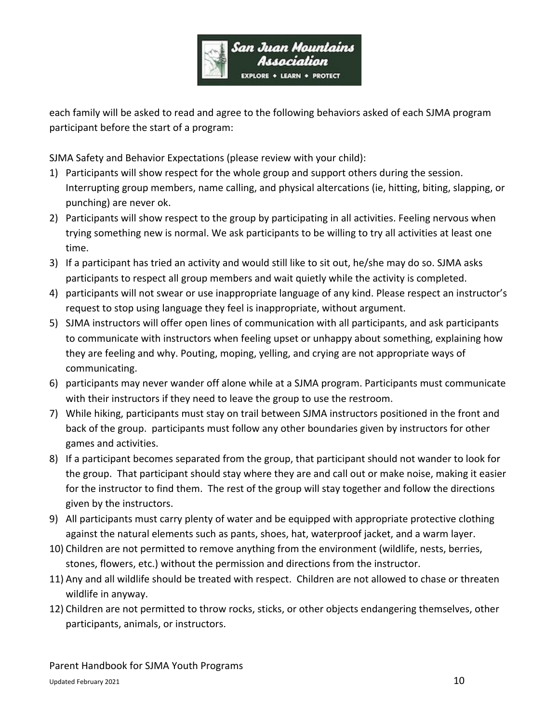

each family will be asked to read and agree to the following behaviors asked of each SJMA program participant before the start of a program:

SJMA Safety and Behavior Expectations (please review with your child):

- 1) Participants will show respect for the whole group and support others during the session. Interrupting group members, name calling, and physical altercations (ie, hitting, biting, slapping, or punching) are never ok.
- 2) Participants will show respect to the group by participating in all activities. Feeling nervous when trying something new is normal. We ask participants to be willing to try all activities at least one time.
- 3) If a participant has tried an activity and would still like to sit out, he/she may do so. SJMA asks participants to respect all group members and wait quietly while the activity is completed.
- 4) participants will not swear or use inappropriate language of any kind. Please respect an instructor's request to stop using language they feel is inappropriate, without argument.
- 5) SJMA instructors will offer open lines of communication with all participants, and ask participants to communicate with instructors when feeling upset or unhappy about something, explaining how they are feeling and why. Pouting, moping, yelling, and crying are not appropriate ways of communicating.
- 6) participants may never wander off alone while at a SJMA program. Participants must communicate with their instructors if they need to leave the group to use the restroom.
- 7) While hiking, participants must stay on trail between SJMA instructors positioned in the front and back of the group. participants must follow any other boundaries given by instructors for other games and activities.
- 8) If a participant becomes separated from the group, that participant should not wander to look for the group. That participant should stay where they are and call out or make noise, making it easier for the instructor to find them. The rest of the group will stay together and follow the directions given by the instructors.
- 9) All participants must carry plenty of water and be equipped with appropriate protective clothing against the natural elements such as pants, shoes, hat, waterproof jacket, and a warm layer.
- 10) Children are not permitted to remove anything from the environment (wildlife, nests, berries, stones, flowers, etc.) without the permission and directions from the instructor.
- 11) Any and all wildlife should be treated with respect. Children are not allowed to chase or threaten wildlife in anyway.
- 12) Children are not permitted to throw rocks, sticks, or other objects endangering themselves, other participants, animals, or instructors.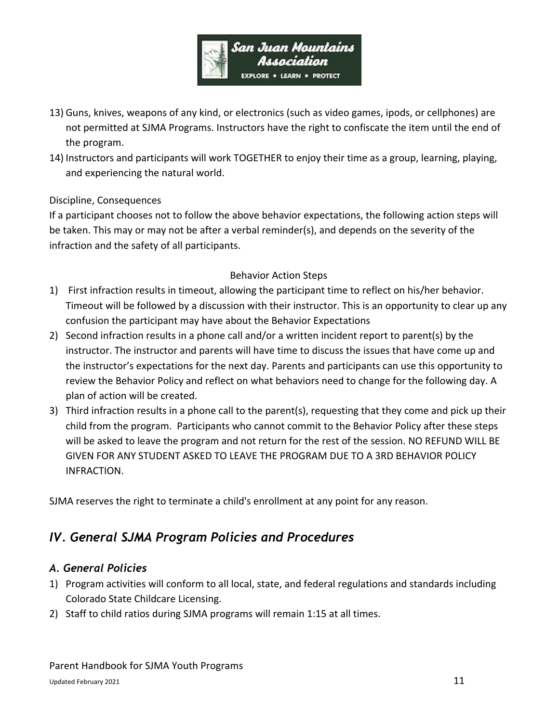

- 13) Guns, knives, weapons of any kind, or electronics (such as video games, ipods, or cellphones) are not permitted at SJMA Programs. Instructors have the right to confiscate the item until the end of the program.
- 14) Instructors and participants will work TOGETHER to enjoy their time as a group, learning, playing, and experiencing the natural world.

#### Discipline, Consequences

If a participant chooses not to follow the above behavior expectations, the following action steps will be taken. This may or may not be after a verbal reminder(s), and depends on the severity of the infraction and the safety of all participants.

#### Behavior Action Steps

- 1) First infraction results in timeout, allowing the participant time to reflect on his/her behavior. Timeout will be followed by a discussion with their instructor. This is an opportunity to clear up any confusion the participant may have about the Behavior Expectations
- 2) Second infraction results in a phone call and/or a written incident report to parent(s) by the instructor. The instructor and parents will have time to discuss the issues that have come up and the instructor's expectations for the next day. Parents and participants can use this opportunity to review the Behavior Policy and reflect on what behaviors need to change for the following day. A plan of action will be created.
- 3) Third infraction results in a phone call to the parent(s), requesting that they come and pick up their child from the program. Participants who cannot commit to the Behavior Policy after these steps will be asked to leave the program and not return for the rest of the session. NO REFUND WILL BE GIVEN FOR ANY STUDENT ASKED TO LEAVE THE PROGRAM DUE TO A 3RD BEHAVIOR POLICY INFRACTION.

SJMA reserves the right to terminate a child's enrollment at any point for any reason.

# *IV. General SJMA Program Policies and Procedures*

#### *A. General Policies*

- 1) Program activities will conform to all local, state, and federal regulations and standards including Colorado State Childcare Licensing.
- 2) Staff to child ratios during SJMA programs will remain 1:15 at all times.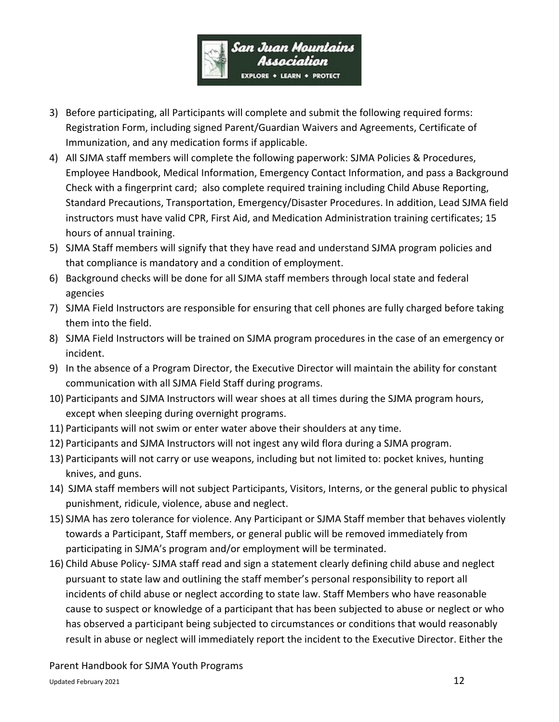

- 3) Before participating, all Participants will complete and submit the following required forms: Registration Form, including signed Parent/Guardian Waivers and Agreements, Certificate of Immunization, and any medication forms if applicable.
- 4) All SJMA staff members will complete the following paperwork: SJMA Policies & Procedures, Employee Handbook, Medical Information, Emergency Contact Information, and pass a Background Check with a fingerprint card; also complete required training including Child Abuse Reporting, Standard Precautions, Transportation, Emergency/Disaster Procedures. In addition, Lead SJMA field instructors must have valid CPR, First Aid, and Medication Administration training certificates; 15 hours of annual training.
- 5) SJMA Staff members will signify that they have read and understand SJMA program policies and that compliance is mandatory and a condition of employment.
- 6) Background checks will be done for all SJMA staff members through local state and federal agencies
- 7) SJMA Field Instructors are responsible for ensuring that cell phones are fully charged before taking them into the field.
- 8) SJMA Field Instructors will be trained on SJMA program procedures in the case of an emergency or incident.
- 9) In the absence of a Program Director, the Executive Director will maintain the ability for constant communication with all SJMA Field Staff during programs.
- 10) Participants and SJMA Instructors will wear shoes at all times during the SJMA program hours, except when sleeping during overnight programs.
- 11) Participants will not swim or enter water above their shoulders at any time.
- 12) Participants and SJMA Instructors will not ingest any wild flora during a SJMA program.
- 13) Participants will not carry or use weapons, including but not limited to: pocket knives, hunting knives, and guns.
- 14) SJMA staff members will not subject Participants, Visitors, Interns, or the general public to physical punishment, ridicule, violence, abuse and neglect.
- 15) SJMA has zero tolerance for violence. Any Participant or SJMA Staff member that behaves violently towards a Participant, Staff members, or general public will be removed immediately from participating in SJMA's program and/or employment will be terminated.
- 16) Child Abuse Policy- SJMA staff read and sign a statement clearly defining child abuse and neglect pursuant to state law and outlining the staff member's personal responsibility to report all incidents of child abuse or neglect according to state law. Staff Members who have reasonable cause to suspect or knowledge of a participant that has been subjected to abuse or neglect or who has observed a participant being subjected to circumstances or conditions that would reasonably result in abuse or neglect will immediately report the incident to the Executive Director. Either the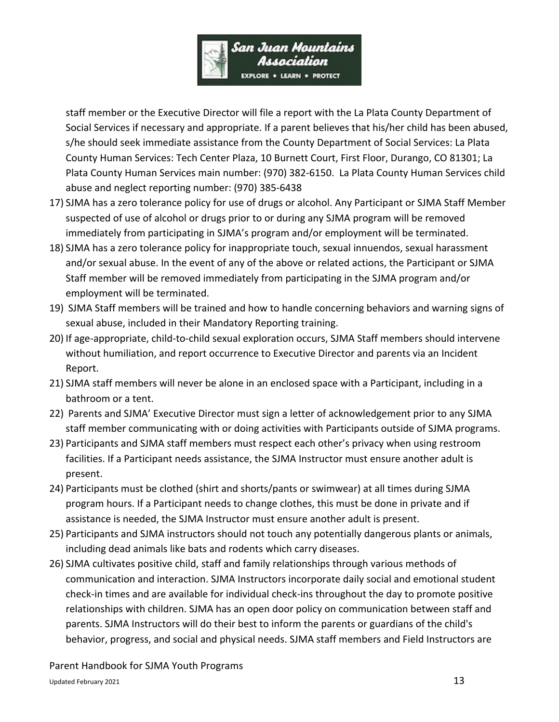

staff member or the Executive Director will file a report with the La Plata County Department of Social Services if necessary and appropriate. If a parent believes that his/her child has been abused, s/he should seek immediate assistance from the County Department of Social Services: La Plata County Human Services: Tech Center Plaza, 10 Burnett Court, First Floor, Durango, CO 81301; La Plata County Human Services main number: (970) 382-6150. La Plata County Human Services child abuse and neglect reporting number: (970) 385-6438

- 17) SJMA has a zero tolerance policy for use of drugs or alcohol. Any Participant or SJMA Staff Member suspected of use of alcohol or drugs prior to or during any SJMA program will be removed immediately from participating in SJMA's program and/or employment will be terminated.
- 18) SJMA has a zero tolerance policy for inappropriate touch, sexual innuendos, sexual harassment and/or sexual abuse. In the event of any of the above or related actions, the Participant or SJMA Staff member will be removed immediately from participating in the SJMA program and/or employment will be terminated.
- 19) SJMA Staff members will be trained and how to handle concerning behaviors and warning signs of sexual abuse, included in their Mandatory Reporting training.
- 20) If age-appropriate, child-to-child sexual exploration occurs, SJMA Staff members should intervene without humiliation, and report occurrence to Executive Director and parents via an Incident Report.
- 21) SJMA staff members will never be alone in an enclosed space with a Participant, including in a bathroom or a tent.
- 22) Parents and SJMA' Executive Director must sign a letter of acknowledgement prior to any SJMA staff member communicating with or doing activities with Participants outside of SJMA programs.
- 23) Participants and SJMA staff members must respect each other's privacy when using restroom facilities. If a Participant needs assistance, the SJMA Instructor must ensure another adult is present.
- 24) Participants must be clothed (shirt and shorts/pants or swimwear) at all times during SJMA program hours. If a Participant needs to change clothes, this must be done in private and if assistance is needed, the SJMA Instructor must ensure another adult is present.
- 25) Participants and SJMA instructors should not touch any potentially dangerous plants or animals, including dead animals like bats and rodents which carry diseases.
- 26) SJMA cultivates positive child, staff and family relationships through various methods of communication and interaction. SJMA Instructors incorporate daily social and emotional student check-in times and are available for individual check-ins throughout the day to promote positive relationships with children. SJMA has an open door policy on communication between staff and parents. SJMA Instructors will do their best to inform the parents or guardians of the child's behavior, progress, and social and physical needs. SJMA staff members and Field Instructors are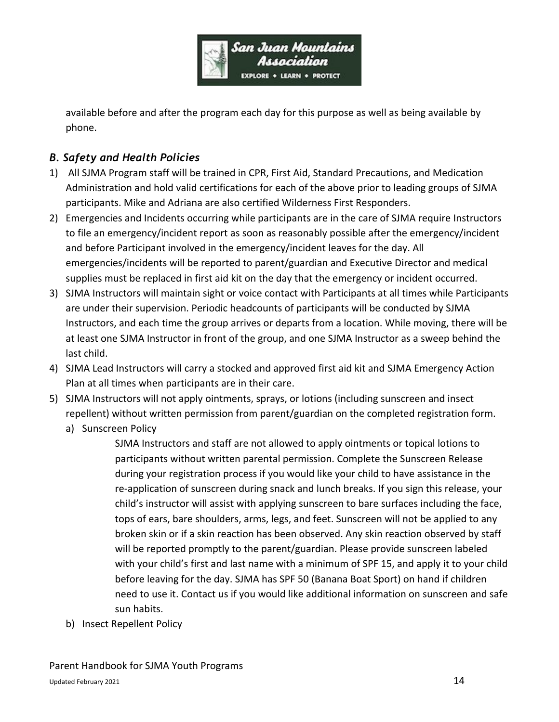

available before and after the program each day for this purpose as well as being available by phone.

# *B. Safety and Health Policies*

- 1) All SJMA Program staff will be trained in CPR, First Aid, Standard Precautions, and Medication Administration and hold valid certifications for each of the above prior to leading groups of SJMA participants. Mike and Adriana are also certified Wilderness First Responders.
- 2) Emergencies and Incidents occurring while participants are in the care of SJMA require Instructors to file an emergency/incident report as soon as reasonably possible after the emergency/incident and before Participant involved in the emergency/incident leaves for the day. All emergencies/incidents will be reported to parent/guardian and Executive Director and medical supplies must be replaced in first aid kit on the day that the emergency or incident occurred.
- 3) SJMA Instructors will maintain sight or voice contact with Participants at all times while Participants are under their supervision. Periodic headcounts of participants will be conducted by SJMA Instructors, and each time the group arrives or departs from a location. While moving, there will be at least one SJMA Instructor in front of the group, and one SJMA Instructor as a sweep behind the last child.
- 4) SJMA Lead Instructors will carry a stocked and approved first aid kit and SJMA Emergency Action Plan at all times when participants are in their care.
- 5) SJMA Instructors will not apply ointments, sprays, or lotions (including sunscreen and insect repellent) without written permission from parent/guardian on the completed registration form.
	- a) Sunscreen Policy

SJMA Instructors and staff are not allowed to apply ointments or topical lotions to participants without written parental permission. Complete the Sunscreen Release during your registration process if you would like your child to have assistance in the re-application of sunscreen during snack and lunch breaks. If you sign this release, your child's instructor will assist with applying sunscreen to bare surfaces including the face, tops of ears, bare shoulders, arms, legs, and feet. Sunscreen will not be applied to any broken skin or if a skin reaction has been observed. Any skin reaction observed by staff will be reported promptly to the parent/guardian. Please provide sunscreen labeled with your child's first and last name with a minimum of SPF 15, and apply it to your child before leaving for the day. SJMA has SPF 50 (Banana Boat Sport) on hand if children need to use it. Contact us if you would like additional information on sunscreen and safe sun habits.

b) Insect Repellent Policy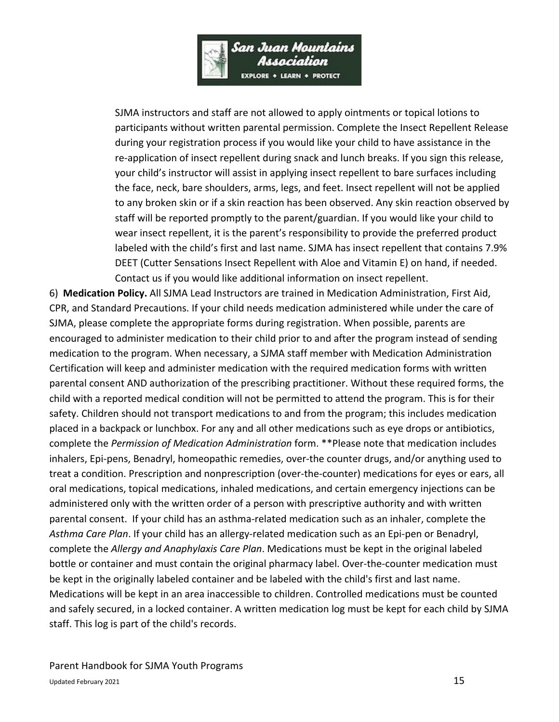

SJMA instructors and staff are not allowed to apply ointments or topical lotions to participants without written parental permission. Complete the Insect Repellent Release during your registration process if you would like your child to have assistance in the re-application of insect repellent during snack and lunch breaks. If you sign this release, your child's instructor will assist in applying insect repellent to bare surfaces including the face, neck, bare shoulders, arms, legs, and feet. Insect repellent will not be applied to any broken skin or if a skin reaction has been observed. Any skin reaction observed by staff will be reported promptly to the parent/guardian. If you would like your child to wear insect repellent, it is the parent's responsibility to provide the preferred product labeled with the child's first and last name. SJMA has insect repellent that contains 7.9% DEET (Cutter Sensations Insect Repellent with Aloe and Vitamin E) on hand, if needed. Contact us if you would like additional information on insect repellent.

6) **Medication Policy.** All SJMA Lead Instructors are trained in Medication Administration, First Aid, CPR, and Standard Precautions. If your child needs medication administered while under the care of SJMA, please complete the appropriate forms during registration. When possible, parents are encouraged to administer medication to their child prior to and after the program instead of sending medication to the program. When necessary, a SJMA staff member with Medication Administration Certification will keep and administer medication with the required medication forms with written parental consent AND authorization of the prescribing practitioner. Without these required forms, the child with a reported medical condition will not be permitted to attend the program. This is for their safety. Children should not transport medications to and from the program; this includes medication placed in a backpack or lunchbox. For any and all other medications such as eye drops or antibiotics, complete the *Permission of Medication Administration* form. \*\*Please note that medication includes inhalers, Epi-pens, Benadryl, homeopathic remedies, over-the counter drugs, and/or anything used to treat a condition. Prescription and nonprescription (over-the-counter) medications for eyes or ears, all oral medications, topical medications, inhaled medications, and certain emergency injections can be administered only with the written order of a person with prescriptive authority and with written parental consent. If your child has an asthma-related medication such as an inhaler, complete the *Asthma Care Plan*. If your child has an allergy-related medication such as an Epi-pen or Benadryl, complete the *Allergy and Anaphylaxis Care Plan*. Medications must be kept in the original labeled bottle or container and must contain the original pharmacy label. Over-the-counter medication must be kept in the originally labeled container and be labeled with the child's first and last name. Medications will be kept in an area inaccessible to children. Controlled medications must be counted and safely secured, in a locked container. A written medication log must be kept for each child by SJMA staff. This log is part of the child's records.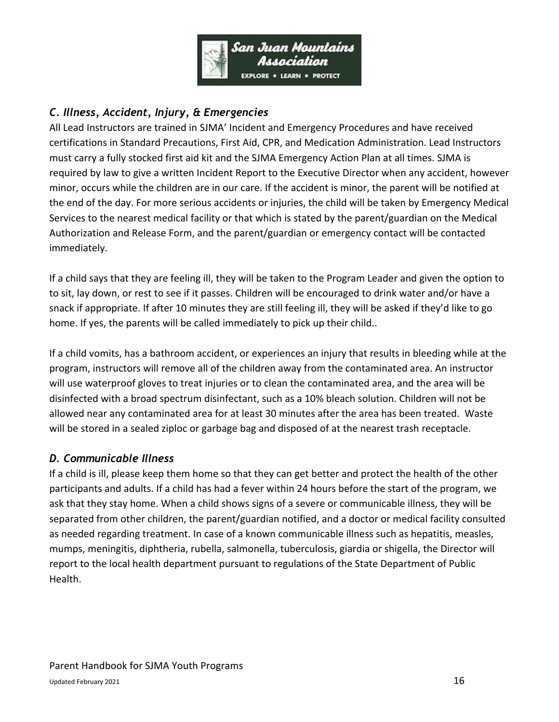

# *C. Illness, Accident, Injury, & Emergencies*

All Lead Instructors are trained in SJMA' Incident and Emergency Procedures and have received certifications in Standard Precautions, First Aid, CPR, and Medication Administration. Lead Instructors must carry a fully stocked first aid kit and the SJMA Emergency Action Plan at all times. SJMA is required by law to give a written Incident Report to the Executive Director when any accident, however minor, occurs while the children are in our care. If the accident is minor, the parent will be notified at the end of the day. For more serious accidents or injuries, the child will be taken by Emergency Medical Services to the nearest medical facility or that which is stated by the parent/guardian on the Medical Authorization and Release Form, and the parent/guardian or emergency contact will be contacted immediately.

If a child says that they are feeling ill, they will be taken to the Program Leader and given the option to to sit, lay down, or rest to see if it passes. Children will be encouraged to drink water and/or have a snack if appropriate. If after 10 minutes they are still feeling ill, they will be asked if they'd like to go home. If yes, the parents will be called immediately to pick up their child..

If a child vomits, has a bathroom accident, or experiences an injury that results in bleeding while at the program, instructors will remove all of the children away from the contaminated area. An instructor will use waterproof gloves to treat injuries or to clean the contaminated area, and the area will be disinfected with a broad spectrum disinfectant, such as a 10% bleach solution. Children will not be allowed near any contaminated area for at least 30 minutes after the area has been treated. Waste will be stored in a sealed ziploc or garbage bag and disposed of at the nearest trash receptacle.

# *D. Communicable Illness*

If a child is ill, please keep them home so that they can get better and protect the health of the other participants and adults. If a child has had a fever within 24 hours before the start of the program, we ask that they stay home. When a child shows signs of a severe or communicable illness, they will be separated from other children, the parent/guardian notified, and a doctor or medical facility consulted as needed regarding treatment. In case of a known communicable illness such as hepatitis, measles, mumps, meningitis, diphtheria, rubella, salmonella, tuberculosis, giardia or shigella, the Director will report to the local health department pursuant to regulations of the State Department of Public Health.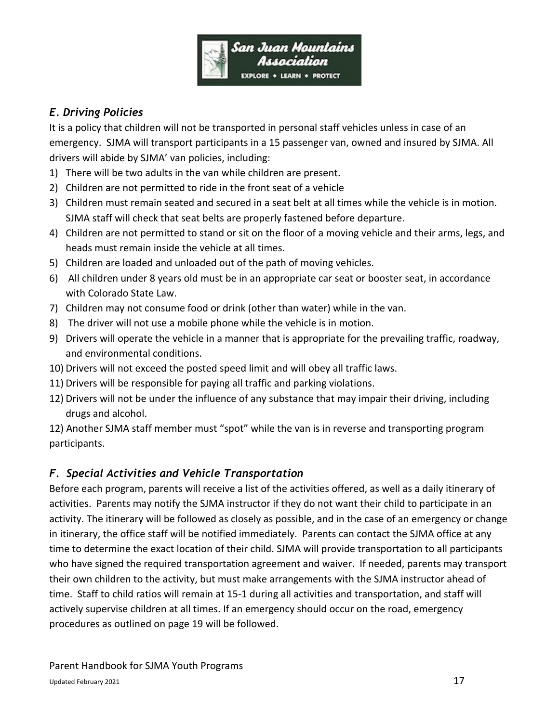

# *E. Driving Policies*

It is a policy that children will not be transported in personal staff vehicles unless in case of an emergency. SJMA will transport participants in a 15 passenger van, owned and insured by SJMA. All drivers will abide by SJMA' van policies, including:

- 1) There will be two adults in the van while children are present.
- 2) Children are not permitted to ride in the front seat of a vehicle
- 3) Children must remain seated and secured in a seat belt at all times while the vehicle is in motion. SJMA staff will check that seat belts are properly fastened before departure.
- 4) Children are not permitted to stand or sit on the floor of a moving vehicle and their arms, legs, and heads must remain inside the vehicle at all times.
- 5) Children are loaded and unloaded out of the path of moving vehicles.
- 6) All children under 8 years old must be in an appropriate car seat or booster seat, in accordance with Colorado State Law.
- 7) Children may not consume food or drink (other than water) while in the van.
- 8) The driver will not use a mobile phone while the vehicle is in motion.
- 9) Drivers will operate the vehicle in a manner that is appropriate for the prevailing traffic, roadway, and environmental conditions.
- 10) Drivers will not exceed the posted speed limit and will obey all traffic laws.
- 11) Drivers will be responsible for paying all traffic and parking violations.
- 12) Drivers will not be under the influence of any substance that may impair their driving, including drugs and alcohol.

12) Another SJMA staff member must "spot" while the van is in reverse and transporting program participants.

# *F. Special Activities and Vehicle Transportation*

Before each program, parents will receive a list of the activities offered, as well as a daily itinerary of activities. Parents may notify the SJMA instructor if they do not want their child to participate in an activity. The itinerary will be followed as closely as possible, and in the case of an emergency or change in itinerary, the office staff will be notified immediately. Parents can contact the SJMA office at any time to determine the exact location of their child. SJMA will provide transportation to all participants who have signed the required transportation agreement and waiver. If needed, parents may transport their own children to the activity, but must make arrangements with the SJMA instructor ahead of time. Staff to child ratios will remain at 15-1 during all activities and transportation, and staff will actively supervise children at all times. If an emergency should occur on the road, emergency procedures as outlined on page 19 will be followed.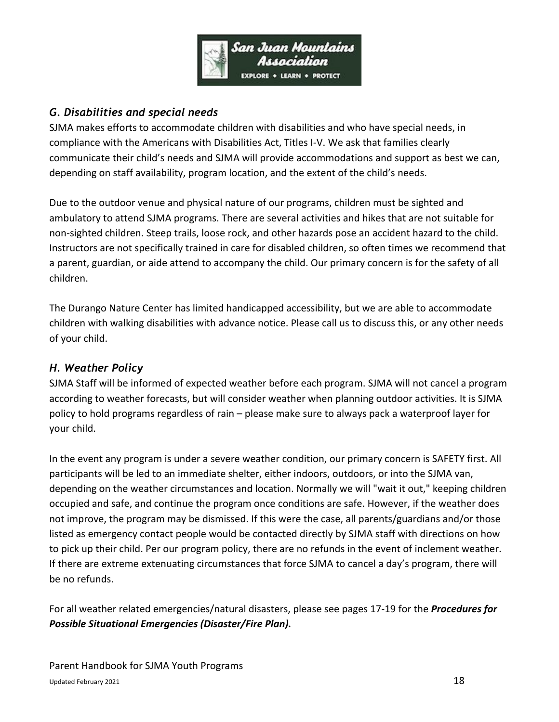

# *G. Disabilities and special needs*

SJMA makes efforts to accommodate children with disabilities and who have special needs, in compliance with the Americans with Disabilities Act, Titles I-V. We ask that families clearly communicate their child's needs and SJMA will provide accommodations and support as best we can, depending on staff availability, program location, and the extent of the child's needs.

Due to the outdoor venue and physical nature of our programs, children must be sighted and ambulatory to attend SJMA programs. There are several activities and hikes that are not suitable for non-sighted children. Steep trails, loose rock, and other hazards pose an accident hazard to the child. Instructors are not specifically trained in care for disabled children, so often times we recommend that a parent, guardian, or aide attend to accompany the child. Our primary concern is for the safety of all children.

The Durango Nature Center has limited handicapped accessibility, but we are able to accommodate children with walking disabilities with advance notice. Please call us to discuss this, or any other needs of your child.

# *H. Weather Policy*

SJMA Staff will be informed of expected weather before each program. SJMA will not cancel a program according to weather forecasts, but will consider weather when planning outdoor activities. It is SJMA policy to hold programs regardless of rain – please make sure to always pack a waterproof layer for your child.

In the event any program is under a severe weather condition, our primary concern is SAFETY first. All participants will be led to an immediate shelter, either indoors, outdoors, or into the SJMA van, depending on the weather circumstances and location. Normally we will "wait it out," keeping children occupied and safe, and continue the program once conditions are safe. However, if the weather does not improve, the program may be dismissed. If this were the case, all parents/guardians and/or those listed as emergency contact people would be contacted directly by SJMA staff with directions on how to pick up their child. Per our program policy, there are no refunds in the event of inclement weather. If there are extreme extenuating circumstances that force SJMA to cancel a day's program, there will be no refunds.

For all weather related emergencies/natural disasters, please see pages 17-19 for the *Procedures for Possible Situational Emergencies (Disaster/Fire Plan).*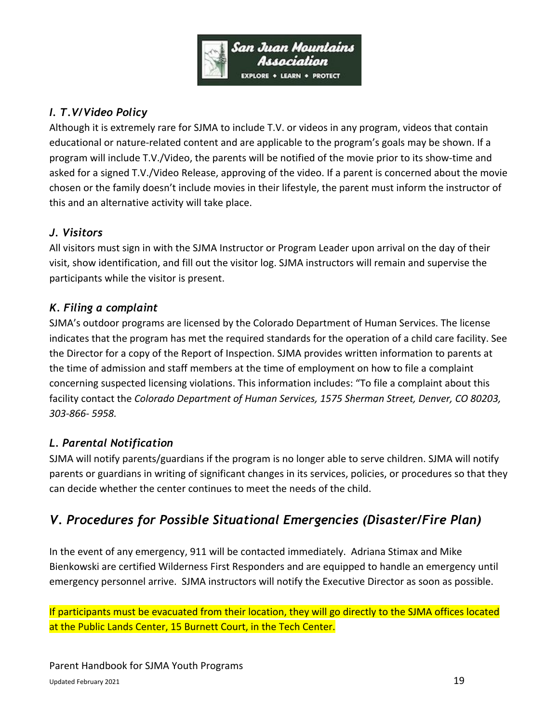

# *I. T.V/Video Policy*

Although it is extremely rare for SJMA to include T.V. or videos in any program, videos that contain educational or nature-related content and are applicable to the program's goals may be shown. If a program will include T.V./Video, the parents will be notified of the movie prior to its show-time and asked for a signed T.V./Video Release, approving of the video. If a parent is concerned about the movie chosen or the family doesn't include movies in their lifestyle, the parent must inform the instructor of this and an alternative activity will take place.

# *J. Visitors*

All visitors must sign in with the SJMA Instructor or Program Leader upon arrival on the day of their visit, show identification, and fill out the visitor log. SJMA instructors will remain and supervise the participants while the visitor is present.

#### *K. Filing a complaint*

SJMA's outdoor programs are licensed by the Colorado Department of Human Services. The license indicates that the program has met the required standards for the operation of a child care facility. See the Director for a copy of the Report of Inspection. SJMA provides written information to parents at the time of admission and staff members at the time of employment on how to file a complaint concerning suspected licensing violations. This information includes: "To file a complaint about this facility contact the *Colorado Department of Human Services, 1575 Sherman Street, Denver, CO 80203, 303-866- 5958.*

# *L. Parental Notification*

SJMA will notify parents/guardians if the program is no longer able to serve children. SJMA will notify parents or guardians in writing of significant changes in its services, policies, or procedures so that they can decide whether the center continues to meet the needs of the child.

# *V. Procedures for Possible Situational Emergencies (Disaster/Fire Plan)*

In the event of any emergency, 911 will be contacted immediately. Adriana Stimax and Mike Bienkowski are certified Wilderness First Responders and are equipped to handle an emergency until emergency personnel arrive. SJMA instructors will notify the Executive Director as soon as possible.

If participants must be evacuated from their location, they will go directly to the SJMA offices located at the Public Lands Center, 15 Burnett Court, in the Tech Center.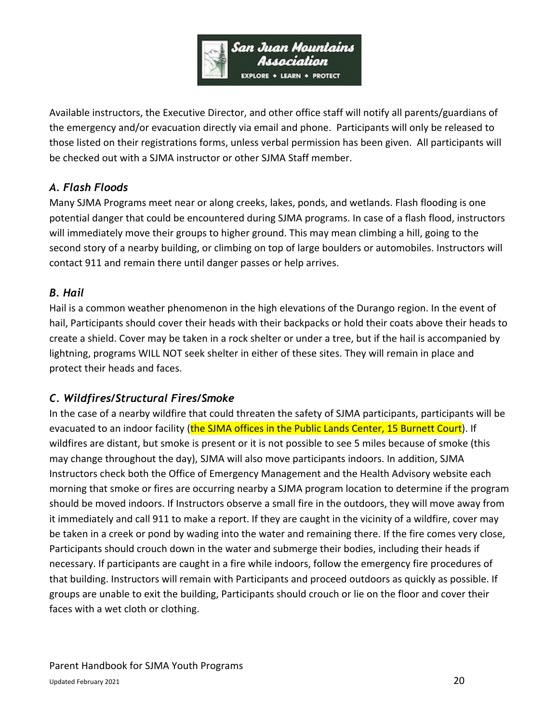

Available instructors, the Executive Director, and other office staff will notify all parents/guardians of the emergency and/or evacuation directly via email and phone. Participants will only be released to those listed on their registrations forms, unless verbal permission has been given. All participants will be checked out with a SJMA instructor or other SJMA Staff member.

# *A. Flash Floods*

Many SJMA Programs meet near or along creeks, lakes, ponds, and wetlands. Flash flooding is one potential danger that could be encountered during SJMA programs. In case of a flash flood, instructors will immediately move their groups to higher ground. This may mean climbing a hill, going to the second story of a nearby building, or climbing on top of large boulders or automobiles. Instructors will contact 911 and remain there until danger passes or help arrives.

# *B. Hail*

Hail is a common weather phenomenon in the high elevations of the Durango region. In the event of hail, Participants should cover their heads with their backpacks or hold their coats above their heads to create a shield. Cover may be taken in a rock shelter or under a tree, but if the hail is accompanied by lightning, programs WILL NOT seek shelter in either of these sites. They will remain in place and protect their heads and faces.

# *C. Wildfires/Structural Fires/Smoke*

In the case of a nearby wildfire that could threaten the safety of SJMA participants, participants will be evacuated to an indoor facility (the SJMA offices in the Public Lands Center, 15 Burnett Court). If wildfires are distant, but smoke is present or it is not possible to see 5 miles because of smoke (this may change throughout the day), SJMA will also move participants indoors. In addition, SJMA Instructors check both the Office of Emergency Management and the Health Advisory website each morning that smoke or fires are occurring nearby a SJMA program location to determine if the program should be moved indoors. If Instructors observe a small fire in the outdoors, they will move away from it immediately and call 911 to make a report. If they are caught in the vicinity of a wildfire, cover may be taken in a creek or pond by wading into the water and remaining there. If the fire comes very close, Participants should crouch down in the water and submerge their bodies, including their heads if necessary. If participants are caught in a fire while indoors, follow the emergency fire procedures of that building. Instructors will remain with Participants and proceed outdoors as quickly as possible. If groups are unable to exit the building, Participants should crouch or lie on the floor and cover their faces with a wet cloth or clothing.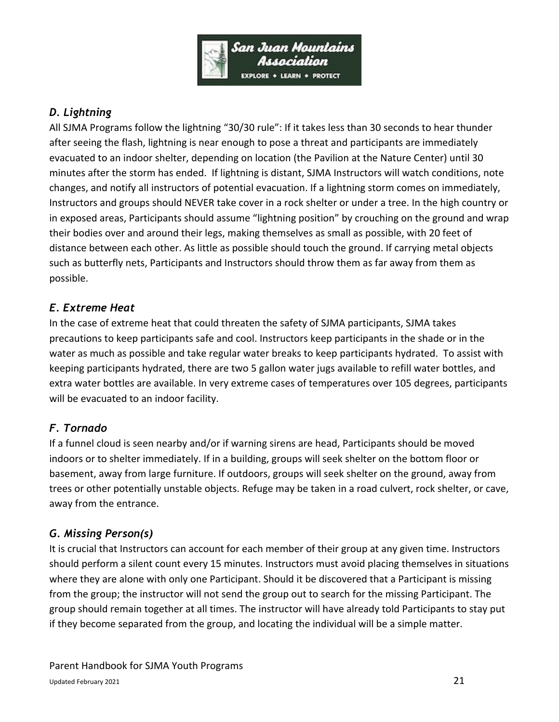

# *D. Lightning*

All SJMA Programs follow the lightning "30/30 rule": If it takes less than 30 seconds to hear thunder after seeing the flash, lightning is near enough to pose a threat and participants are immediately evacuated to an indoor shelter, depending on location (the Pavilion at the Nature Center) until 30 minutes after the storm has ended. If lightning is distant, SJMA Instructors will watch conditions, note changes, and notify all instructors of potential evacuation. If a lightning storm comes on immediately, Instructors and groups should NEVER take cover in a rock shelter or under a tree. In the high country or in exposed areas, Participants should assume "lightning position" by crouching on the ground and wrap their bodies over and around their legs, making themselves as small as possible, with 20 feet of distance between each other. As little as possible should touch the ground. If carrying metal objects such as butterfly nets, Participants and Instructors should throw them as far away from them as possible.

# *E. Extreme Heat*

In the case of extreme heat that could threaten the safety of SJMA participants, SJMA takes precautions to keep participants safe and cool. Instructors keep participants in the shade or in the water as much as possible and take regular water breaks to keep participants hydrated. To assist with keeping participants hydrated, there are two 5 gallon water jugs available to refill water bottles, and extra water bottles are available. In very extreme cases of temperatures over 105 degrees, participants will be evacuated to an indoor facility.

# *F. Tornado*

If a funnel cloud is seen nearby and/or if warning sirens are head, Participants should be moved indoors or to shelter immediately. If in a building, groups will seek shelter on the bottom floor or basement, away from large furniture. If outdoors, groups will seek shelter on the ground, away from trees or other potentially unstable objects. Refuge may be taken in a road culvert, rock shelter, or cave, away from the entrance.

# *G. Missing Person(s)*

It is crucial that Instructors can account for each member of their group at any given time. Instructors should perform a silent count every 15 minutes. Instructors must avoid placing themselves in situations where they are alone with only one Participant. Should it be discovered that a Participant is missing from the group; the instructor will not send the group out to search for the missing Participant. The group should remain together at all times. The instructor will have already told Participants to stay put if they become separated from the group, and locating the individual will be a simple matter.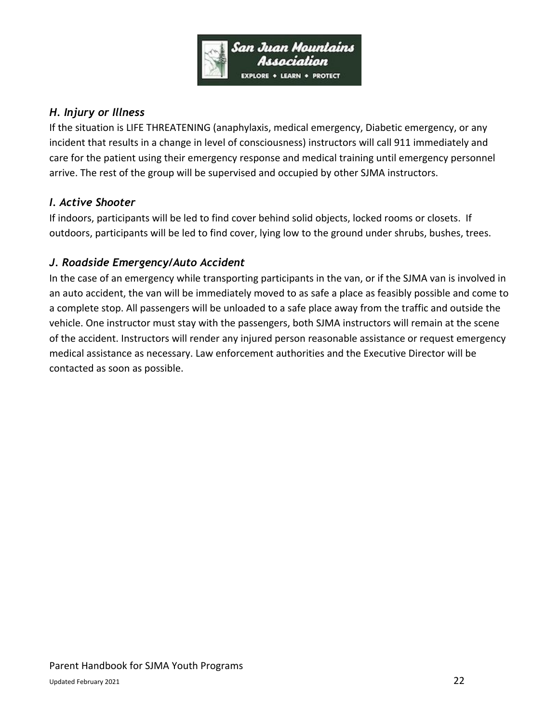

### *H. Injury or Illness*

If the situation is LIFE THREATENING (anaphylaxis, medical emergency, Diabetic emergency, or any incident that results in a change in level of consciousness) instructors will call 911 immediately and care for the patient using their emergency response and medical training until emergency personnel arrive. The rest of the group will be supervised and occupied by other SJMA instructors.

#### *I. Active Shooter*

If indoors, participants will be led to find cover behind solid objects, locked rooms or closets. If outdoors, participants will be led to find cover, lying low to the ground under shrubs, bushes, trees.

# *J. Roadside Emergency/Auto Accident*

In the case of an emergency while transporting participants in the van, or if the SJMA van is involved in an auto accident, the van will be immediately moved to as safe a place as feasibly possible and come to a complete stop. All passengers will be unloaded to a safe place away from the traffic and outside the vehicle. One instructor must stay with the passengers, both SJMA instructors will remain at the scene of the accident. Instructors will render any injured person reasonable assistance or request emergency medical assistance as necessary. Law enforcement authorities and the Executive Director will be contacted as soon as possible.